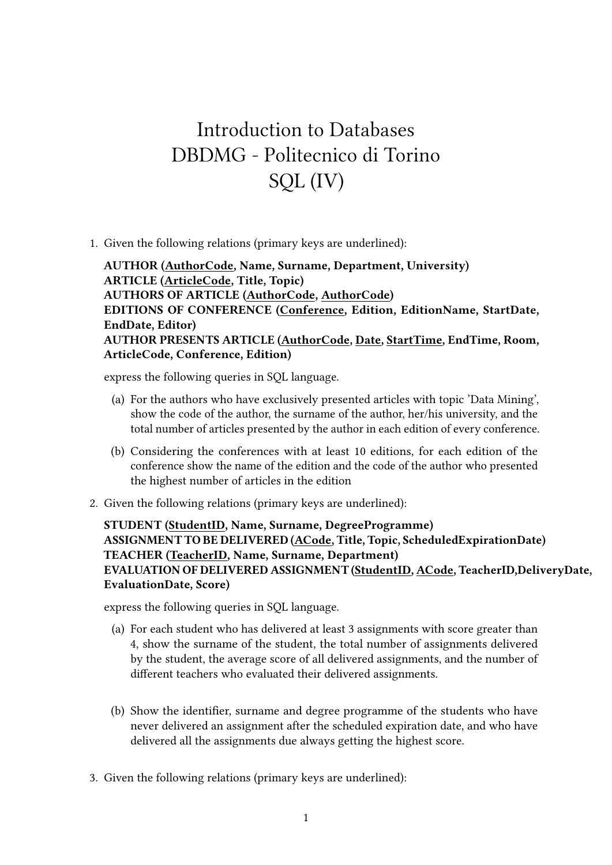## Introduction to Databases DBDMG - Politecnico di Torino SQL (IV)

1. Given the following relations (primary keys are underlined):

**AUTHOR (AuthorCode, Name, Surname, Department, University) ARTICLE (ArticleCode, Title, Topic) AUTHORS OF ARTICLE (AuthorCode, AuthorCode) EDITIONS OF CONFERENCE (Conference, Edition, EditionName, StartDate, EndDate, Editor) AUTHOR PRESENTS ARTICLE (AuthorCode, Date, StartTime, EndTime, Room, ArticleCode, Conference, Edition)**

express the following queries in SQL language.

- (a) For the authors who have exclusively presented articles with topic 'Data Mining', show the code of the author, the surname of the author, her/his university, and the total number of articles presented by the author in each edition of every conference.
- (b) Considering the conferences with at least 10 editions, for each edition of the conference show the name of the edition and the code of the author who presented the highest number of articles in the edition
- 2. Given the following relations (primary keys are underlined):

**STUDENT (StudentID, Name, Surname, DegreeProgramme) ASSIGNMENT TO BE DELIVERED (ACode, Title, Topic, ScheduledExpirationDate) TEACHER (TeacherID, Name, Surname, Department) EVALUATION OF DELIVERED ASSIGNMENT (StudentID, ACode, TeacherID,DeliveryDate, EvaluationDate, Score)**

express the following queries in SQL language.

- (a) For each student who has delivered at least 3 assignments with score greater than 4, show the surname of the student, the total number of assignments delivered by the student, the average score of all delivered assignments, and the number of different teachers who evaluated their delivered assignments.
- (b) Show the identifier, surname and degree programme of the students who have never delivered an assignment after the scheduled expiration date, and who have delivered all the assignments due always getting the highest score.
- 3. Given the following relations (primary keys are underlined):